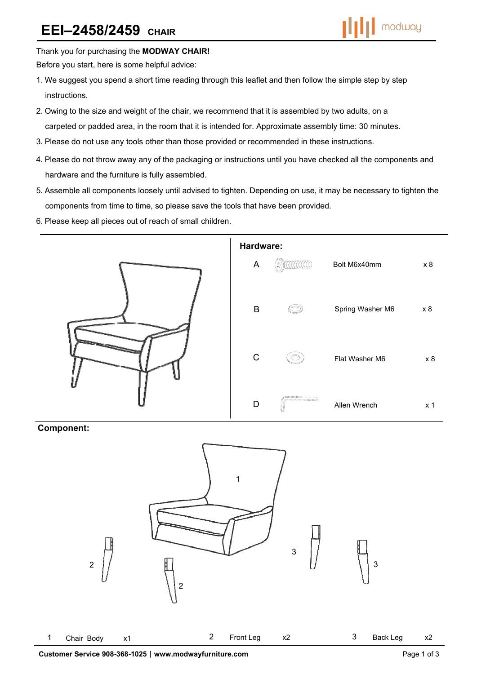

Thank you for purchasing the **MODWAY CHAIR!** 

Before you start, here is some helpful advice:

- 1.We suggest you spend a short time reading through this leaflet and then follow the simple step by step instructions.
- 2.Owing to the size and weight of the chair, we recommend that it is assembled by two adults, on a carpeted or padded area, in the room that it is intended for. Approximate assembly time: 30 minutes.
- 3.Please do not use any tools other than those provided or recommended in these instructions.
- 4.Please do not throw away any of the packaging or instructions until you have checked all the components and hardware and the furniture is fully assembled.
- 5.Assemble all components loosely until advised to tighten. Depending on use, it may be necessary to tighten the components from time to time, so please save the tools that have been provided.
- 6.Please keep all pieces out of reach of small children.



## **Component:**

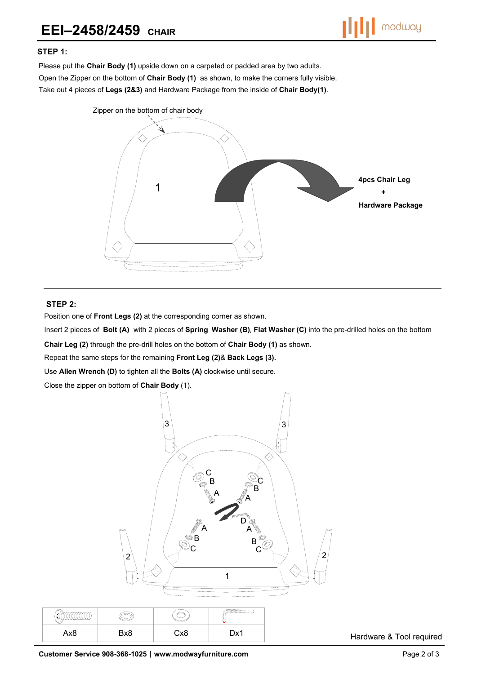

## **STEP 1:**

Please put the **Chair Body (1)** upside down on a carpeted or padded area by two adults. Open the Zipper on the bottom of **Chair Body (1)** as shown, to make the corners fully visible. Take out 4 pieces of **Legs (2&3)** and Hardware Package from the inside of **Chair Body(1)**.



## **STEP 2:**

 $\infty$ 

Position one of **Front Legs (2)** at the corresponding corner as shown.

Insert 2 pieces of **Bolt (A)** with 2 pieces of **Spring Washer (B)**, **Flat Washer (C)** into the pre-drilled holes on the bottom

**Chair Leg (2)** through the pre-drill holes on the bottom of **Chair Body (1)** as shown.

Repeat the same steps for the remaining **Front Leg (2)**& **Back Legs (3).** 

Use **Allen Wrench (D)** to tighten all the **Bolts (A)** clockwise until secure.

Close the zipper on bottom of **Chair Body** (1).



Hardware & Tool required